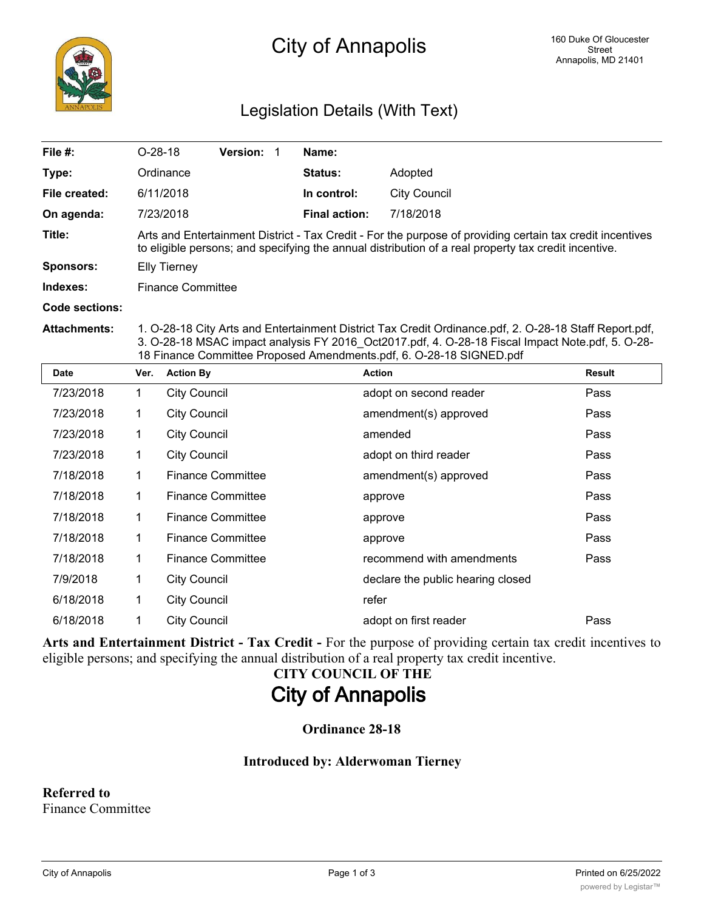## Legislation Details (With Text)

| File $#$ :          | $O-28-18$                                                                                                                                                                                                         | <b>Version:</b> |  | Name:                |                     |  |
|---------------------|-------------------------------------------------------------------------------------------------------------------------------------------------------------------------------------------------------------------|-----------------|--|----------------------|---------------------|--|
| Type:               | Ordinance                                                                                                                                                                                                         |                 |  | <b>Status:</b>       | Adopted             |  |
| File created:       | 6/11/2018                                                                                                                                                                                                         |                 |  | In control:          | <b>City Council</b> |  |
| On agenda:          | 7/23/2018                                                                                                                                                                                                         |                 |  | <b>Final action:</b> | 7/18/2018           |  |
| Title:              | Arts and Entertainment District - Tax Credit - For the purpose of providing certain tax credit incentives<br>to eligible persons; and specifying the annual distribution of a real property tax credit incentive. |                 |  |                      |                     |  |
| <b>Sponsors:</b>    | Elly Tierney                                                                                                                                                                                                      |                 |  |                      |                     |  |
| Indexes:            | <b>Finance Committee</b>                                                                                                                                                                                          |                 |  |                      |                     |  |
| Code sections:      |                                                                                                                                                                                                                   |                 |  |                      |                     |  |
| <b>Attachments:</b> | 1. O-28-18 City Arts and Entertainment District Tax Credit Ordinance.pdf, 2. O-28-18 Staff Report.pdf,                                                                                                            |                 |  |                      |                     |  |

3. O-28-18 MSAC impact analysis FY 2016\_Oct2017.pdf, 4. O-28-18 Fiscal Impact Note.pdf, 5. O-28- 18 Finance Committee Proposed Amendments.pdf, 6. O-28-18 SIGNED.pdf

| Date      | Ver. | <b>Action By</b>         | <b>Action</b>                     | Result |
|-----------|------|--------------------------|-----------------------------------|--------|
| 7/23/2018 | 1    | <b>City Council</b>      | adopt on second reader            | Pass   |
| 7/23/2018 | 1    | <b>City Council</b>      | amendment(s) approved             | Pass   |
| 7/23/2018 | 1    | <b>City Council</b>      | amended                           | Pass   |
| 7/23/2018 | 1    | <b>City Council</b>      | adopt on third reader             | Pass   |
| 7/18/2018 | 1    | <b>Finance Committee</b> | amendment(s) approved             | Pass   |
| 7/18/2018 | 1    | <b>Finance Committee</b> | approve                           | Pass   |
| 7/18/2018 | 1    | <b>Finance Committee</b> | approve                           | Pass   |
| 7/18/2018 | 1    | <b>Finance Committee</b> | approve                           | Pass   |
| 7/18/2018 | 1    | <b>Finance Committee</b> | recommend with amendments         | Pass   |
| 7/9/2018  | 1    | <b>City Council</b>      | declare the public hearing closed |        |
| 6/18/2018 | 1    | <b>City Council</b>      | refer                             |        |
| 6/18/2018 | 1    | <b>City Council</b>      | adopt on first reader             | Pass   |

**Arts and Entertainment District - Tax Credit -** For the purpose of providing certain tax credit incentives to eligible persons; and specifying the annual distribution of a real property tax credit incentive.

# **CITY COUNCIL OF THE City of Annapolis**

## **Ordinance 28-18**

### **Introduced by: Alderwoman Tierney**

**Referred to** Finance Committee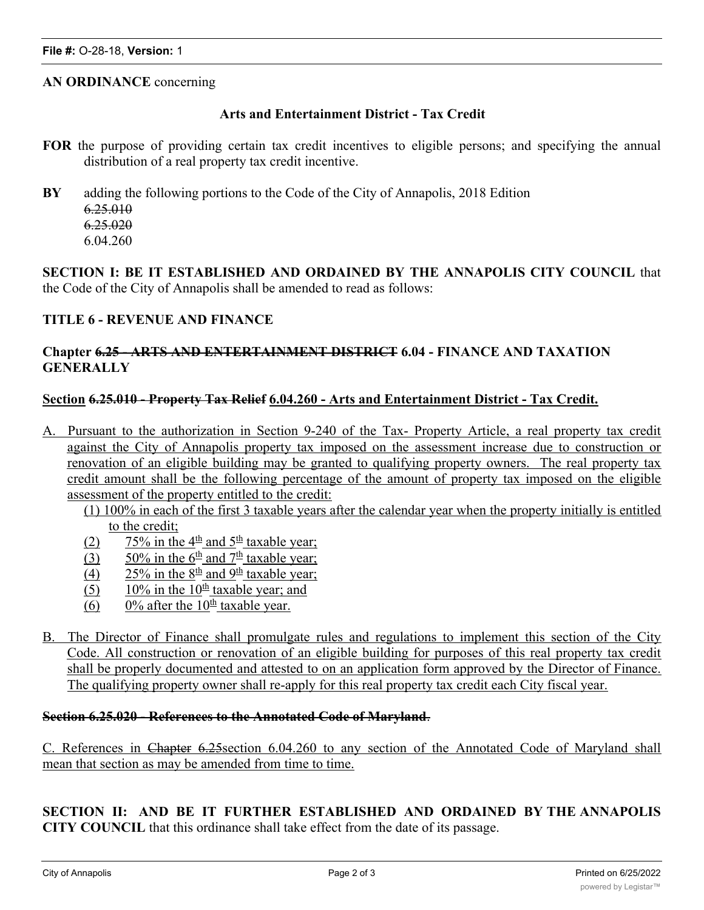#### **AN ORDINANCE** concerning

#### **Arts and Entertainment District - Tax Credit**

- **FOR** the purpose of providing certain tax credit incentives to eligible persons; and specifying the annual distribution of a real property tax credit incentive.
- **BY** adding the following portions to the Code of the City of Annapolis, 2018 Edition 6.25.010 6.25.020 6.04.260

**SECTION I: BE IT ESTABLISHED AND ORDAINED BY THE ANNAPOLIS CITY COUNCIL** that the Code of the City of Annapolis shall be amended to read as follows:

#### **TITLE 6 - REVENUE AND FINANCE**

## **Chapter 6.25 - ARTS AND ENTERTAINMENT DISTRICT 6.04 - FINANCE AND TAXATION GENERALLY**

#### **Section 6.25.010 - Property Tax Relief 6.04.260 - Arts and Entertainment District - Tax Credit.**

- A. Pursuant to the authorization in Section 9-240 of the Tax- Property Article, a real property tax credit against the City of Annapolis property tax imposed on the assessment increase due to construction or renovation of an eligible building may be granted to qualifying property owners. The real property tax credit amount shall be the following percentage of the amount of property tax imposed on the eligible assessment of the property entitled to the credit:
	- (1) 100% in each of the first 3 taxable years after the calendar year when the property initially is entitled to the credit;
	- (2) 75% in the  $4<sup>th</sup>$  and  $5<sup>th</sup>$  taxable year;
	- (3)  $50\%$  in the 6<sup>th</sup> and  $7\frac{\text{th}}{\text{taxable year}}$ ;
	- (4)  $25\%$  in the  $8^{\text{th}}$  and  $9^{\text{th}}$  taxable year;
	- (5) 10% in the  $10<sup>th</sup>$  taxable year; and
	- (6) 0% after the  $10^{th}$  taxable year.
- B. The Director of Finance shall promulgate rules and regulations to implement this section of the City Code. All construction or renovation of an eligible building for purposes of this real property tax credit shall be properly documented and attested to on an application form approved by the Director of Finance. The qualifying property owner shall re-apply for this real property tax credit each City fiscal year.

#### **Section 6.25.020 - References to the Annotated Code of Maryland**.

C. References in Chapter 6.25section 6.04.260 to any section of the Annotated Code of Maryland shall mean that section as may be amended from time to time.

**SECTION II: AND BE IT FURTHER ESTABLISHED AND ORDAINED BY THE ANNAPOLIS CITY COUNCIL** that this ordinance shall take effect from the date of its passage.